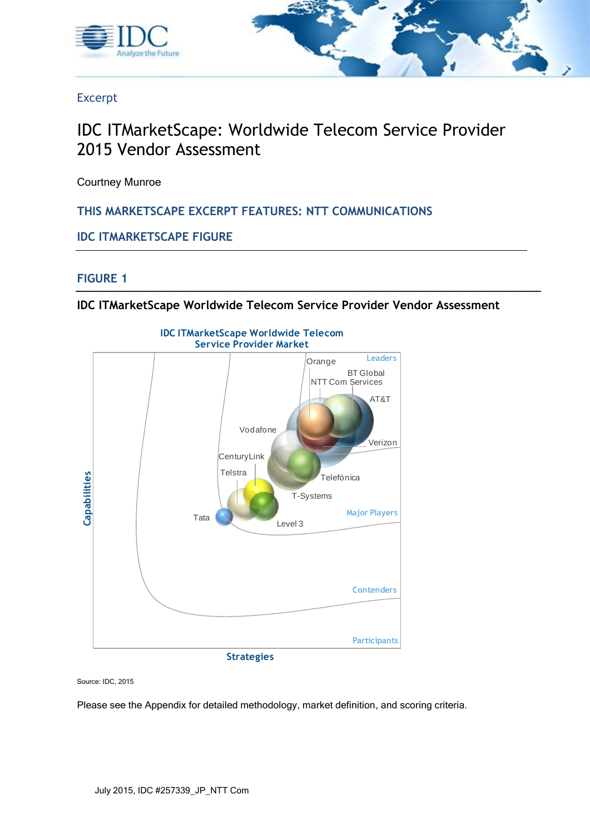



Excerpt

# IDC ITMarketScape: Worldwide Telecom Service Provider 2015 Vendor Assessment

Courtney Munroe

**THIS MARKETSCAPE EXCERPT FEATURES: NTT COMMUNICATIONS**

**IDC ITMARKETSCAPE FIGURE**

## **FIGURE 1**

**IDC ITMarketScape Worldwide Telecom Service Provider Vendor Assessment**



Source: IDC, 2015

Please see the Appendix for detailed methodology, market definition, and scoring criteria.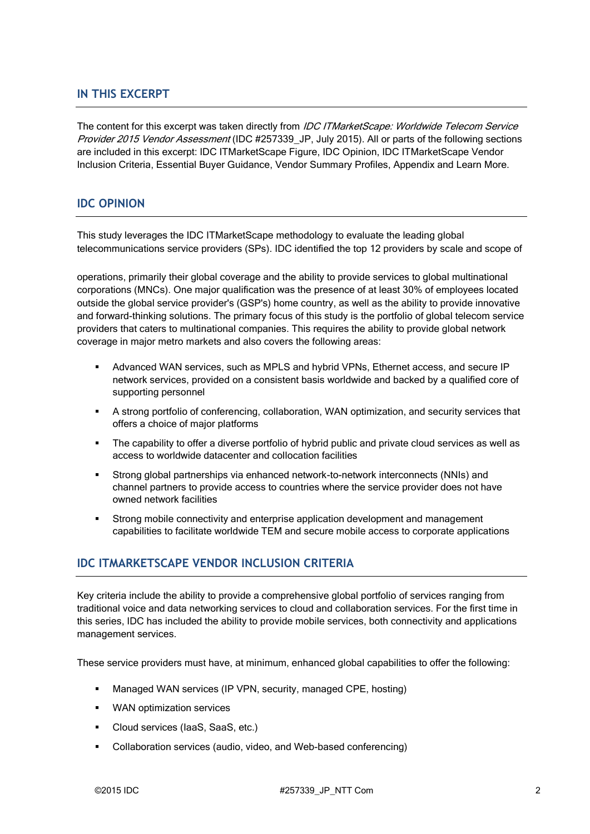### **IN THIS EXCERPT**

The content for this excerpt was taken directly from IDC ITMarketScape: Worldwide Telecom Service Provider 2015 Vendor Assessment (IDC #257339 JP, July 2015). All or parts of the following sections are included in this excerpt: IDC ITMarketScape Figure, IDC Opinion, IDC ITMarketScape Vendor Inclusion Criteria, Essential Buyer Guidance, Vendor Summary Profiles, Appendix and Learn More.

#### **IDC OPINION**

This study leverages the IDC ITMarketScape methodology to evaluate the leading global telecommunications service providers (SPs). IDC identified the top 12 providers by scale and scope of

operations, primarily their global coverage and the ability to provide services to global multinational corporations (MNCs). One major qualification was the presence of at least 30% of employees located outside the global service provider's (GSP's) home country, as well as the ability to provide innovative and forward-thinking solutions. The primary focus of this study is the portfolio of global telecom service providers that caters to multinational companies. This requires the ability to provide global network coverage in major metro markets and also covers the following areas:

- Advanced WAN services, such as MPLS and hybrid VPNs, Ethernet access, and secure IP network services, provided on a consistent basis worldwide and backed by a qualified core of supporting personnel
- A strong portfolio of conferencing, collaboration, WAN optimization, and security services that offers a choice of major platforms
- The capability to offer a diverse portfolio of hybrid public and private cloud services as well as access to worldwide datacenter and collocation facilities
- Strong global partnerships via enhanced network-to-network interconnects (NNIs) and channel partners to provide access to countries where the service provider does not have owned network facilities
- Strong mobile connectivity and enterprise application development and management capabilities to facilitate worldwide TEM and secure mobile access to corporate applications

## **IDC ITMARKETSCAPE VENDOR INCLUSION CRITERIA**

Key criteria include the ability to provide a comprehensive global portfolio of services ranging from traditional voice and data networking services to cloud and collaboration services. For the first time in this series, IDC has included the ability to provide mobile services, both connectivity and applications management services.

These service providers must have, at minimum, enhanced global capabilities to offer the following:

- Managed WAN services (IP VPN, security, managed CPE, hosting)
- **WAN** optimization services
- Cloud services (IaaS, SaaS, etc.)
- Collaboration services (audio, video, and Web-based conferencing)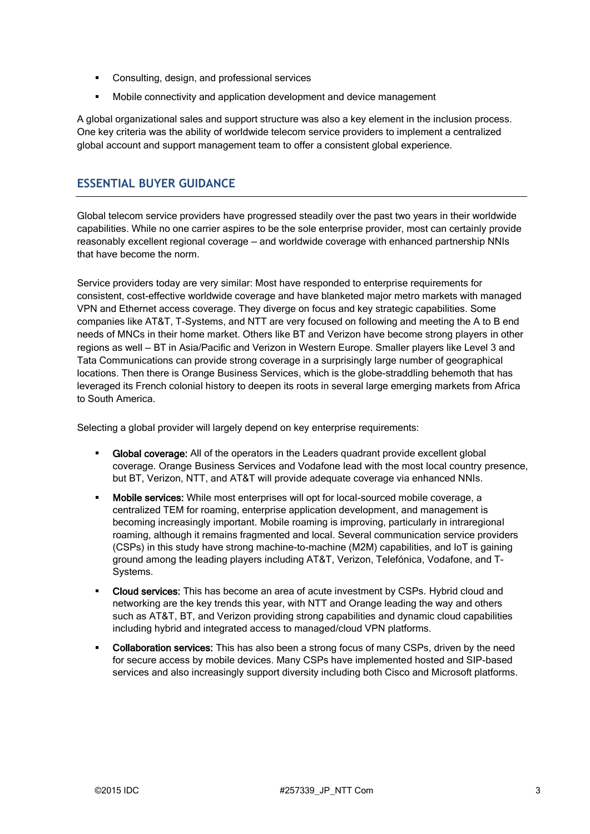- **•** Consulting, design, and professional services
- Mobile connectivity and application development and device management

A global organizational sales and support structure was also a key element in the inclusion process. One key criteria was the ability of worldwide telecom service providers to implement a centralized global account and support management team to offer a consistent global experience.

## **ESSENTIAL BUYER GUIDANCE**

Global telecom service providers have progressed steadily over the past two years in their worldwide capabilities. While no one carrier aspires to be the sole enterprise provider, most can certainly provide reasonably excellent regional coverage — and worldwide coverage with enhanced partnership NNIs that have become the norm.

Service providers today are very similar: Most have responded to enterprise requirements for consistent, cost-effective worldwide coverage and have blanketed major metro markets with managed VPN and Ethernet access coverage. They diverge on focus and key strategic capabilities. Some companies like AT&T, T-Systems, and NTT are very focused on following and meeting the A to B end needs of MNCs in their home market. Others like BT and Verizon have become strong players in other regions as well — BT in Asia/Pacific and Verizon in Western Europe. Smaller players like Level 3 and Tata Communications can provide strong coverage in a surprisingly large number of geographical locations. Then there is Orange Business Services, which is the globe-straddling behemoth that has leveraged its French colonial history to deepen its roots in several large emerging markets from Africa to South America.

Selecting a global provider will largely depend on key enterprise requirements:

- Global coverage: All of the operators in the Leaders quadrant provide excellent global coverage. Orange Business Services and Vodafone lead with the most local country presence, but BT, Verizon, NTT, and AT&T will provide adequate coverage via enhanced NNIs.
- Mobile services: While most enterprises will opt for local-sourced mobile coverage, a centralized TEM for roaming, enterprise application development, and management is becoming increasingly important. Mobile roaming is improving, particularly in intraregional roaming, although it remains fragmented and local. Several communication service providers (CSPs) in this study have strong machine-to-machine (M2M) capabilities, and IoT is gaining ground among the leading players including AT&T, Verizon, Telefónica, Vodafone, and T-Systems.
- Cloud services: This has become an area of acute investment by CSPs. Hybrid cloud and networking are the key trends this year, with NTT and Orange leading the way and others such as AT&T, BT, and Verizon providing strong capabilities and dynamic cloud capabilities including hybrid and integrated access to managed/cloud VPN platforms.
- Collaboration services: This has also been a strong focus of many CSPs, driven by the need for secure access by mobile devices. Many CSPs have implemented hosted and SIP-based services and also increasingly support diversity including both Cisco and Microsoft platforms.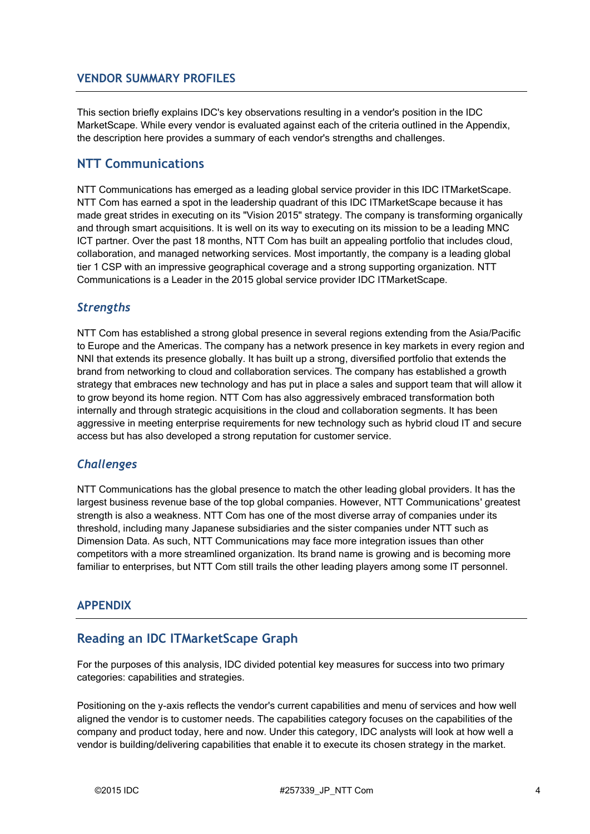### **VENDOR SUMMARY PROFILES**

This section briefly explains IDC's key observations resulting in a vendor's position in the IDC MarketScape. While every vendor is evaluated against each of the criteria outlined in the Appendix, the description here provides a summary of each vendor's strengths and challenges.

## **NTT Communications**

NTT Communications has emerged as a leading global service provider in this IDC ITMarketScape. NTT Com has earned a spot in the leadership quadrant of this IDC ITMarketScape because it has made great strides in executing on its "Vision 2015" strategy. The company is transforming organically and through smart acquisitions. It is well on its way to executing on its mission to be a leading MNC ICT partner. Over the past 18 months, NTT Com has built an appealing portfolio that includes cloud, collaboration, and managed networking services. Most importantly, the company is a leading global tier 1 CSP with an impressive geographical coverage and a strong supporting organization. NTT Communications is a Leader in the 2015 global service provider IDC ITMarketScape.

## *Strengths*

NTT Com has established a strong global presence in several regions extending from the Asia/Pacific to Europe and the Americas. The company has a network presence in key markets in every region and NNI that extends its presence globally. It has built up a strong, diversified portfolio that extends the brand from networking to cloud and collaboration services. The company has established a growth strategy that embraces new technology and has put in place a sales and support team that will allow it to grow beyond its home region. NTT Com has also aggressively embraced transformation both internally and through strategic acquisitions in the cloud and collaboration segments. It has been aggressive in meeting enterprise requirements for new technology such as hybrid cloud IT and secure access but has also developed a strong reputation for customer service.

## *Challenges*

NTT Communications has the global presence to match the other leading global providers. It has the largest business revenue base of the top global companies. However, NTT Communications' greatest strength is also a weakness. NTT Com has one of the most diverse array of companies under its threshold, including many Japanese subsidiaries and the sister companies under NTT such as Dimension Data. As such, NTT Communications may face more integration issues than other competitors with a more streamlined organization. Its brand name is growing and is becoming more familiar to enterprises, but NTT Com still trails the other leading players among some IT personnel.

#### **APPENDIX**

## **Reading an IDC ITMarketScape Graph**

For the purposes of this analysis, IDC divided potential key measures for success into two primary categories: capabilities and strategies.

Positioning on the y-axis reflects the vendor's current capabilities and menu of services and how well aligned the vendor is to customer needs. The capabilities category focuses on the capabilities of the company and product today, here and now. Under this category, IDC analysts will look at how well a vendor is building/delivering capabilities that enable it to execute its chosen strategy in the market.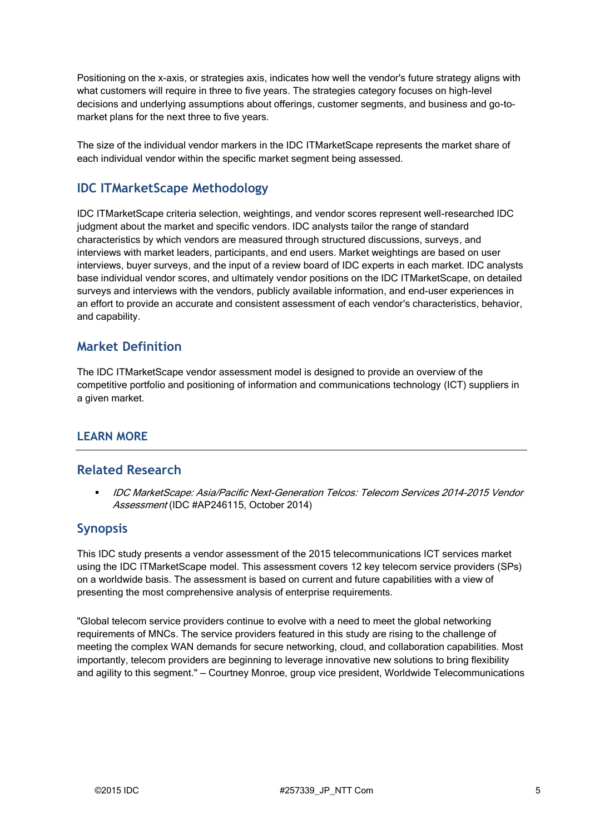Positioning on the x-axis, or strategies axis, indicates how well the vendor's future strategy aligns with what customers will require in three to five years. The strategies category focuses on high-level decisions and underlying assumptions about offerings, customer segments, and business and go-tomarket plans for the next three to five years.

The size of the individual vendor markers in the IDC ITMarketScape represents the market share of each individual vendor within the specific market segment being assessed.

# **IDC ITMarketScape Methodology**

IDC ITMarketScape criteria selection, weightings, and vendor scores represent well-researched IDC judgment about the market and specific vendors. IDC analysts tailor the range of standard characteristics by which vendors are measured through structured discussions, surveys, and interviews with market leaders, participants, and end users. Market weightings are based on user interviews, buyer surveys, and the input of a review board of IDC experts in each market. IDC analysts base individual vendor scores, and ultimately vendor positions on the IDC ITMarketScape, on detailed surveys and interviews with the vendors, publicly available information, and end-user experiences in an effort to provide an accurate and consistent assessment of each vendor's characteristics, behavior, and capability.

## **Market Definition**

The IDC ITMarketScape vendor assessment model is designed to provide an overview of the competitive portfolio and positioning of information and communications technology (ICT) suppliers in a given market.

## **LEARN MORE**

## **Related Research**

 IDC MarketScape: Asia/Pacific Next-Generation Telcos: Telecom Services 2014–2015 Vendor Assessment (IDC #AP246115, October 2014)

## **Synopsis**

This IDC study presents a vendor assessment of the 2015 telecommunications ICT services market using the IDC ITMarketScape model. This assessment covers 12 key telecom service providers (SPs) on a worldwide basis. The assessment is based on current and future capabilities with a view of presenting the most comprehensive analysis of enterprise requirements.

"Global telecom service providers continue to evolve with a need to meet the global networking requirements of MNCs. The service providers featured in this study are rising to the challenge of meeting the complex WAN demands for secure networking, cloud, and collaboration capabilities. Most importantly, telecom providers are beginning to leverage innovative new solutions to bring flexibility and agility to this segment." — Courtney Monroe, group vice president, Worldwide Telecommunications